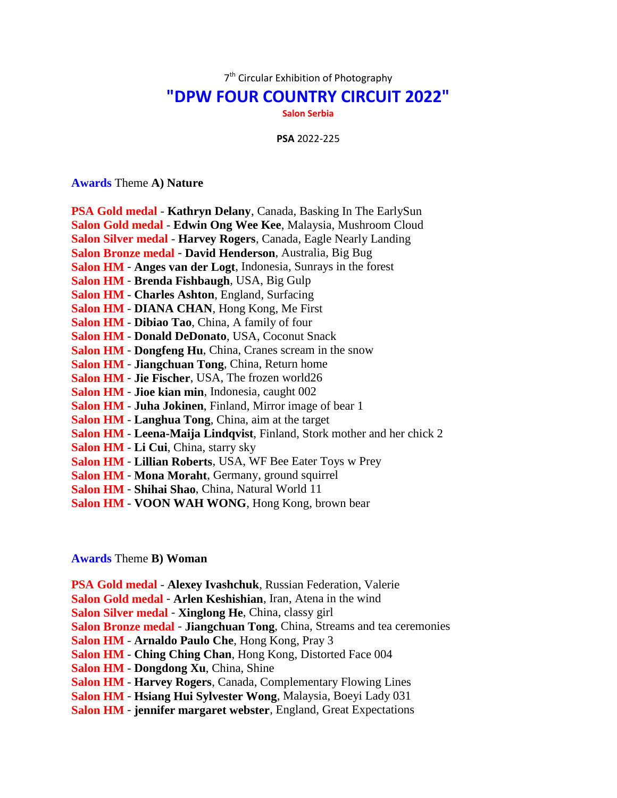7<sup>th</sup> Circular Exhibition of Photography

## **"DPW FOUR COUNTRY CIRCUIT 2022"**

**Salon Serbia**

**PSA** 2022-225

**Awards** Theme **A) Nature**

| <b>PSA Gold medal - Kathryn Delany</b> , Canada, Basking In The EarlySun |
|--------------------------------------------------------------------------|
| Salon Gold medal - Edwin Ong Wee Kee, Malaysia, Mushroom Cloud           |
| Salon Silver medal - Harvey Rogers, Canada, Eagle Nearly Landing         |
| Salon Bronze medal - David Henderson, Australia, Big Bug                 |
| <b>Salon HM - Anges van der Logt, Indonesia, Sunrays in the forest</b>   |
| Salon HM - Brenda Fishbaugh, USA, Big Gulp                               |
| <b>Salon HM - Charles Ashton, England, Surfacing</b>                     |
| Salon HM - DIANA CHAN, Hong Kong, Me First                               |
| Salon HM - Dibiao Tao, China, A family of four                           |
| Salon HM - Donald DeDonato, USA, Coconut Snack                           |
| Salon HM - Dongfeng Hu, China, Cranes scream in the snow                 |
| Salon HM - Jiangchuan Tong, China, Return home                           |
| <b>Salon HM - Jie Fischer, USA, The frozen world26</b>                   |
| <b>Salon HM - Jioe kian min, Indonesia, caught 002</b>                   |
| Salon HM - Juha Jokinen, Finland, Mirror image of bear 1                 |
| <b>Salon HM - Langhua Tong, China, aim at the target</b>                 |
| Salon HM - Leena-Maija Lindqvist, Finland, Stork mother and her chick 2  |
| Salon HM - Li Cui, China, starry sky                                     |
| Salon HM - Lillian Roberts, USA, WF Bee Eater Toys w Prey                |
| Salon HM - Mona Moraht, Germany, ground squirrel                         |
| Salon HM - Shihai Shao, China, Natural World 11                          |
|                                                                          |

**Salon HM** - **VOON WAH WONG**, Hong Kong, brown bear

## **Awards** Theme **B) Woman**

**PSA Gold medal** - **Alexey Ivashchuk**, Russian Federation, Valerie **Salon Gold medal** - **Arlen Keshishian**, Iran, Atena in the wind **Salon Silver medal** - **Xinglong He**, China, classy girl **Salon Bronze medal** - **Jiangchuan Tong**, China, Streams and tea ceremonies **Salon HM** - **Arnaldo Paulo Che**, Hong Kong, Pray 3 **Salon HM** - **Ching Ching Chan**, Hong Kong, Distorted Face 004 **Salon HM** - **Dongdong Xu**, China, Shine **Salon HM** - **Harvey Rogers**, Canada, Complementary Flowing Lines **Salon HM** - **Hsiang Hui Sylvester Wong**, Malaysia, Boeyi Lady 031 **Salon HM** - **jennifer margaret webster**, England, Great Expectations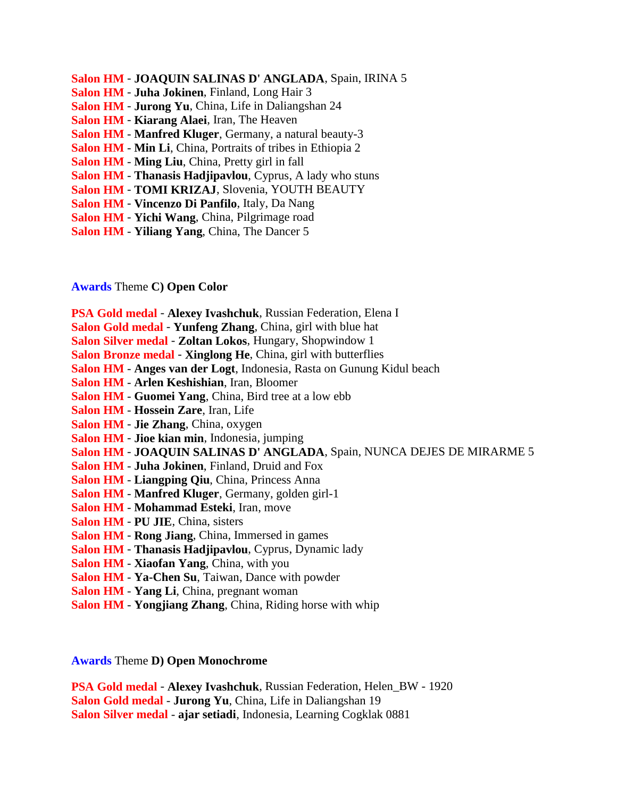- **Salon HM JOAQUIN SALINAS D' ANGLADA**, Spain, IRINA 5
- **Salon HM Juha Jokinen**, Finland, Long Hair 3
- **Salon HM Jurong Yu**, China, Life in Daliangshan 24
- **Salon HM Kiarang Alaei**, Iran, The Heaven
- **Salon HM Manfred Kluger**, Germany, a natural beauty-3
- **Salon HM Min Li**, China, Portraits of tribes in Ethiopia 2
- **Salon HM Ming Liu**, China, Pretty girl in fall
- **Salon HM Thanasis Hadjipavlou**, Cyprus, A lady who stuns
- **Salon HM TOMI KRIZAJ**, Slovenia, YOUTH BEAUTY
- **Salon HM Vincenzo Di Panfilo**, Italy, Da Nang
- **Salon HM Yichi Wang**, China, Pilgrimage road
- **Salon HM Yiliang Yang**, China, The Dancer 5

## **Awards** Theme **C) Open Color**

- **PSA Gold medal Alexey Ivashchuk**, Russian Federation, Elena I
- **Salon Gold medal Yunfeng Zhang**, China, girl with blue hat
- **Salon Silver medal Zoltan Lokos**, Hungary, Shopwindow 1
- **Salon Bronze medal Xinglong He**, China, girl with butterflies
- **Salon HM Anges van der Logt**, Indonesia, Rasta on Gunung Kidul beach
- **Salon HM Arlen Keshishian**, Iran, Bloomer
- **Salon HM Guomei Yang**, China, Bird tree at a low ebb
- **Salon HM Hossein Zare**, Iran, Life
- **Salon HM Jie Zhang**, China, oxygen
- **Salon HM Jioe kian min**, Indonesia, jumping
- **Salon HM JOAQUIN SALINAS D' ANGLADA**, Spain, NUNCA DEJES DE MIRARME 5
- **Salon HM Juha Jokinen**, Finland, Druid and Fox
- **Salon HM Liangping Qiu**, China, Princess Anna
- **Salon HM Manfred Kluger**, Germany, golden girl-1
- **Salon HM Mohammad Esteki**, Iran, move
- **Salon HM PU JIE**, China, sisters
- **Salon HM Rong Jiang**, China, Immersed in games
- **Salon HM Thanasis Hadjipavlou**, Cyprus, Dynamic lady
- **Salon HM Xiaofan Yang**, China, with you
- **Salon HM Ya-Chen Su**, Taiwan, Dance with powder
- **Salon HM Yang Li**, China, pregnant woman
- **Salon HM Yongjiang Zhang**, China, Riding horse with whip

**Awards** Theme **D) Open Monochrome**

**PSA Gold medal** - **Alexey Ivashchuk**, Russian Federation, Helen\_BW - 1920 **Salon Gold medal** - **Jurong Yu**, China, Life in Daliangshan 19 **Salon Silver medal** - **ajar setiadi**, Indonesia, Learning Cogklak 0881